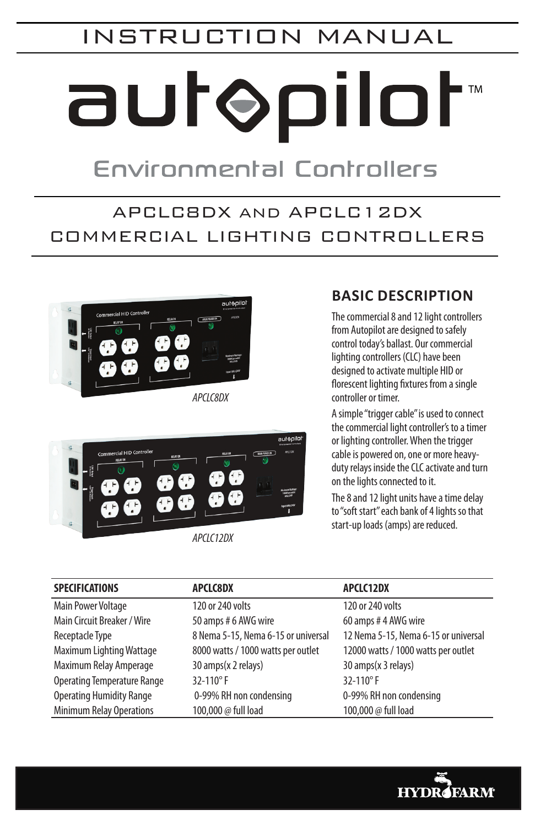# INSTRUCTION MANUAL

# autopilot

# **Environmental Controllers**

# APCLC8DX AND APCLC12DX COMMERCIAL LIGHTING CONTROLLERS



*APCLC8DX* 



*APCLC12DX* 

# **Basic Description**

The commercial 8 and 12 light controllers from Autopilot are designed to safely control today's ballast. Our commercial lighting controllers (CLC) have been designed to activate multiple HID or florescent lighting fixtures from a single controller or timer.

A simple "trigger cable" is used to connect the commercial light controller's to a timer or lighting controller. When the trigger cable is powered on, one or more heavyduty relays inside the CLC activate and turn on the lights connected to it.

The 8 and 12 light units have a time delay to "soft start" each bank of 4 lights so that start-up loads (amps) are reduced.

| <b>SPECIFICATIONS</b>              | <b>APCLC8DX</b>                     | <b>APCLC12DX</b>                     |
|------------------------------------|-------------------------------------|--------------------------------------|
| <b>Main Power Voltage</b>          | 120 or 240 volts                    | 120 or 240 volts                     |
| Main Circuit Breaker / Wire        | 50 amps # 6 AWG wire                | 60 amps #4 AWG wire                  |
| Receptacle Type                    | 8 Nema 5-15, Nema 6-15 or universal | 12 Nema 5-15, Nema 6-15 or universal |
| Maximum Lighting Wattage           | 8000 watts / 1000 watts per outlet  | 12000 watts / 1000 watts per outlet  |
| Maximum Relay Amperage             | 30 amps(x 2 relays)                 | 30 amps(x 3 relays)                  |
| <b>Operating Temperature Range</b> | $32 - 110^{\circ}$ F                | $32 - 110^{\circ}$ F                 |
| <b>Operating Humidity Range</b>    | 0-99% RH non condensing             | 0-99% RH non condensing              |
| <b>Minimum Relay Operations</b>    | 100,000 @ full load                 | 100,000 @ full load                  |

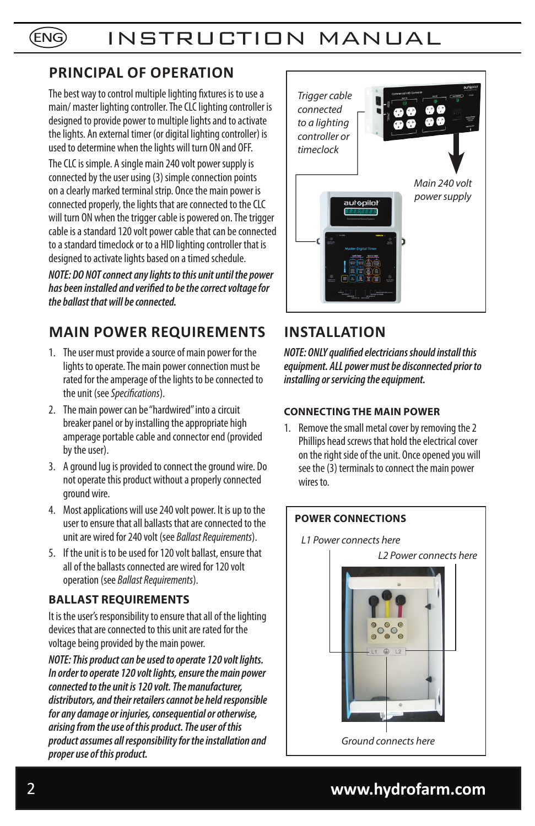## **Principal of operation**

The best way to control multiple lighting fixtures is to use a main/ master lighting controller. The CLC lighting controller is designed to provide power to multiple lights and to activate the lights. An external timer (or digital lighting controller) is used to determine when the lights will turn ON and OFF.

The CLC is simple. A single main 240 volt power supply is connected by the user using (3) simple connection points on a clearly marked terminal strip. Once the main power is connected properly, the lights that are connected to the CLC will turn ON when the trigger cable is powered on. The trigger cable is a standard 120 volt power cable that can be connected to a standard timeclock or to a HID lighting controller that is designed to activate lights based on a timed schedule.

*NOTE: DO NOT connect any lights to this unit until the power has been installed and verified to be the correct voltage for the ballast that will be connected.*

# **Main Power Requirements**

- 1. The user must provide a source of main power for the lights to operate. The main power connection must be rated for the amperage of the lights to be connected to the unit (see *Specifications*).
- 2. The main power can be "hardwired" into a circuit breaker panel or by installing the appropriate high amperage portable cable and connector end (provided by the user).
- 3. A ground lug is provided to connect the ground wire. Do not operate this product without a properly connected ground wire.
- 4. Most applications will use 240 volt power. It is up to the user to ensure that all ballasts that are connected to the unit are wired for 240 volt (see *Ballast Requirements*).
- 5. If the unit is to be used for 120 volt ballast, ensure that all of the ballasts connected are wired for 120 volt operation (see *Ballast Requirements*).

#### **Ballast requirements**

It is the user's responsibility to ensure that all of the lighting devices that are connected to this unit are rated for the voltage being provided by the main power.

*NOTE: This product can be used to operate 120 volt lights. In order to operate 120 volt lights, ensure the main power connected to the unit is 120 volt. The manufacturer, distributors, and their retailers cannot be held responsible for any damage or injuries, consequential or otherwise, arising from the use of this product. The user of this product assumes all responsibility for the installation and proper use of this product.*



# **Installation**

*NOTE: ONLY qualified electricians should install this equipment. ALL power must be disconnected prior to installing or servicing the equipment.*

#### **Connecting the main power**

1. Remove the small metal cover by removing the 2 Phillips head screws that hold the electrical cover on the right side of the unit. Once opened you will see the (3) terminals to connect the main power wires to.



# 2 **www.hydrofarm.com**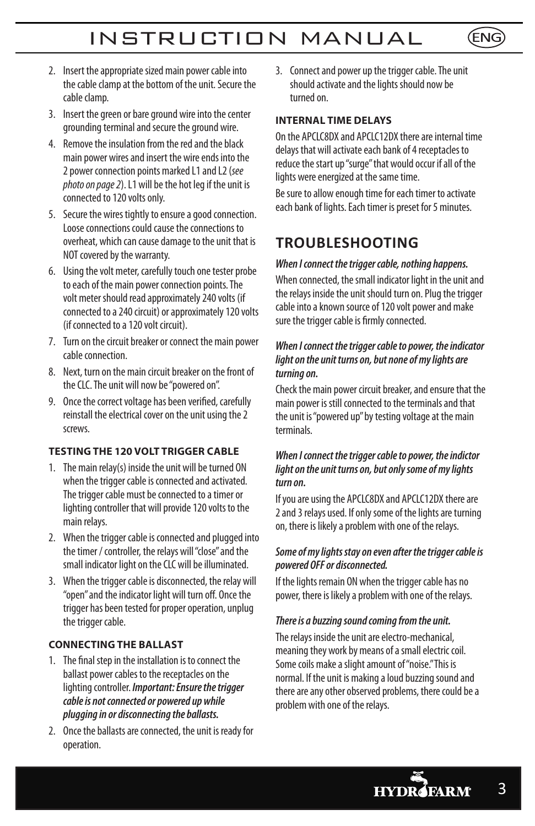- 2. Insert the appropriate sized main power cable into the cable clamp at the bottom of the unit. Secure the cable clamp.
- 3. Insert the green or bare ground wire into the center grounding terminal and secure the ground wire.
- 4. Remove the insulation from the red and the black main power wires and insert the wire ends into the 2 power connection points marked L1 and L2 (*see photo on page 2*). L1 will be the hot leg if the unit is connected to 120 volts only.
- 5. Secure the wires tightly to ensure a good connection. Loose connections could cause the connections to overheat, which can cause damage to the unit that is NOT covered by the warranty.
- 6. Using the volt meter, carefully touch one tester probe to each of the main power connection points. The volt meter should read approximately 240 volts (if connected to a 240 circuit) or approximately 120 volts (if connected to a 120 volt circuit).
- 7. Turn on the circuit breaker or connect the main power cable connection.
- 8. Next, turn on the main circuit breaker on the front of the CLC. The unit will now be "powered on".
- 9. Once the correct voltage has been verified, carefully reinstall the electrical cover on the unit using the 2 screws.

#### **Testing The 120 Volt Trigger Cable**

- 1. The main relay(s) inside the unit will be turned ON when the trigger cable is connected and activated. The trigger cable must be connected to a timer or lighting controller that will provide 120 volts to the main relays.
- 2. When the trigger cable is connected and plugged into the timer / controller, the relays will "close" and the small indicator light on the CLC will be illuminated.
- 3. When the trigger cable is disconnected, the relay will "open" and the indicator light will turn off. Once the trigger has been tested for proper operation, unplug the trigger cable.

#### **Connecting the ballast**

- 1. The final step in the installation is to connect the ballast power cables to the receptacles on the lighting controller. *Important: Ensure the trigger cable is not connected or powered up while plugging in or disconnecting the ballasts.*
- 2. Once the ballasts are connected, the unit is ready for operation.

3. Connect and power up the trigger cable. The unit should activate and the lights should now be turned on.

(ENG)

#### **Internal time delays**

On the APCLC8DX and APCLC12DX there are internal time delays that will activate each bank of 4 receptacles to reduce the start up "surge" that would occur if all of the lights were energized at the same time.

Be sure to allow enough time for each timer to activate each bank of lights. Each timer is preset for 5 minutes.

### **TROUBLESHOOTING**

#### *When I connect the trigger cable, nothing happens.*

When connected, the small indicator light in the unit and the relays inside the unit should turn on. Plug the trigger cable into a known source of 120 volt power and make sure the trigger cable is firmly connected.

#### *When I connect the trigger cable to power, the indicator light on the unit turns on, but none of my lights are turning on.*

Check the main power circuit breaker, and ensure that the main power is still connected to the terminals and that the unit is "powered up" by testing voltage at the main terminals.

#### *When I connect the trigger cable to power, the indictor light on the unit turns on, but only some of my lights turn on.*

If you are using the APCLC8DX and APCLC12DX there are 2 and 3 relays used. If only some of the lights are turning on, there is likely a problem with one of the relays.

#### *Some of my lights stay on even after the trigger cable is powered OFF or disconnected.*

If the lights remain ON when the trigger cable has no power, there is likely a problem with one of the relays.

#### *There is a buzzing sound coming from the unit.*

The relays inside the unit are electro-mechanical, meaning they work by means of a small electric coil. Some coils make a slight amount of "noise." This is normal. If the unit is making a loud buzzing sound and there are any other observed problems, there could be a problem with one of the relays.